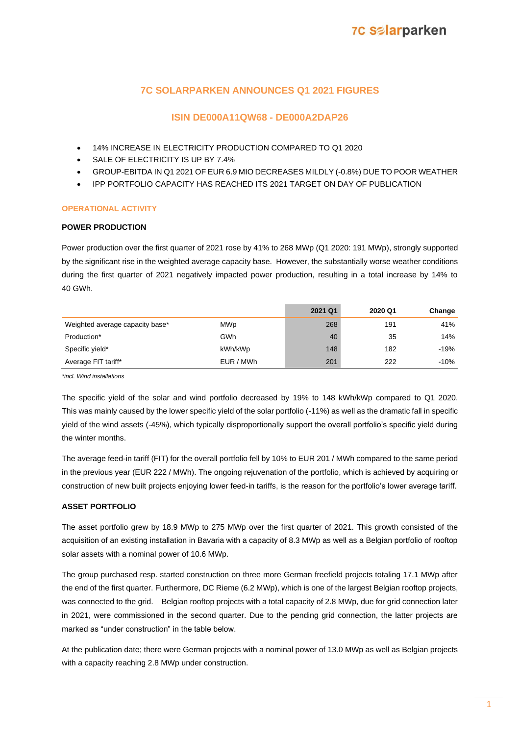## **7C SOLARPARKEN ANNOUNCES Q1 2021 FIGURES**

### **ISIN DE000A11QW68 - DE000A2DAP26**

- 14% INCREASE IN ELECTRICITY PRODUCTION COMPARED TO Q1 2020
- SALE OF ELECTRICITY IS UP BY 7.4%
- GROUP-EBITDA IN Q1 2021 OF EUR 6.9 MIO DECREASES MILDLY (-0.8%) DUE TO POOR WEATHER
- IPP PORTFOLIO CAPACITY HAS REACHED ITS 2021 TARGET ON DAY OF PUBLICATION

### **OPERATIONAL ACTIVITY**

#### **POWER PRODUCTION**

Power production over the first quarter of 2021 rose by 41% to 268 MWp (Q1 2020: 191 MWp), strongly supported by the significant rise in the weighted average capacity base. However, the substantially worse weather conditions during the first quarter of 2021 negatively impacted power production, resulting in a total increase by 14% to 40 GWh.

|                                 |            | 2021 Q1 | 2020 Q1 | Change |
|---------------------------------|------------|---------|---------|--------|
| Weighted average capacity base* | <b>MWp</b> | 268     | 191     | 41%    |
| Production*                     | GWh        | 40      | 35      | 14%    |
| Specific yield*                 | kWh/kWp    | 148     | 182     | $-19%$ |
| Average FIT tariff*             | EUR / MWh  | 201     | 222     | $-10%$ |

*\*incl. Wind installations* 

The specific yield of the solar and wind portfolio decreased by 19% to 148 kWh/kWp compared to Q1 2020. This was mainly caused by the lower specific yield of the solar portfolio (-11%) as well as the dramatic fall in specific yield of the wind assets (-45%), which typically disproportionally support the overall portfolio's specific yield during the winter months.

The average feed-in tariff (FIT) for the overall portfolio fell by 10% to EUR 201 / MWh compared to the same period in the previous year (EUR 222 / MWh). The ongoing rejuvenation of the portfolio, which is achieved by acquiring or construction of new built projects enjoying lower feed-in tariffs, is the reason for the portfolio's lower average tariff.

### **ASSET PORTFOLIO**

The asset portfolio grew by 18.9 MWp to 275 MWp over the first quarter of 2021. This growth consisted of the acquisition of an existing installation in Bavaria with a capacity of 8.3 MWp as well as a Belgian portfolio of rooftop solar assets with a nominal power of 10.6 MWp.

The group purchased resp. started construction on three more German freefield projects totaling 17.1 MWp after the end of the first quarter. Furthermore, DC Rieme (6.2 MWp), which is one of the largest Belgian rooftop projects, was connected to the grid. Belgian rooftop projects with a total capacity of 2.8 MWp, due for grid connection later in 2021, were commissioned in the second quarter. Due to the pending grid connection, the latter projects are marked as "under construction" in the table below.

At the publication date; there were German projects with a nominal power of 13.0 MWp as well as Belgian projects with a capacity reaching 2.8 MWp under construction.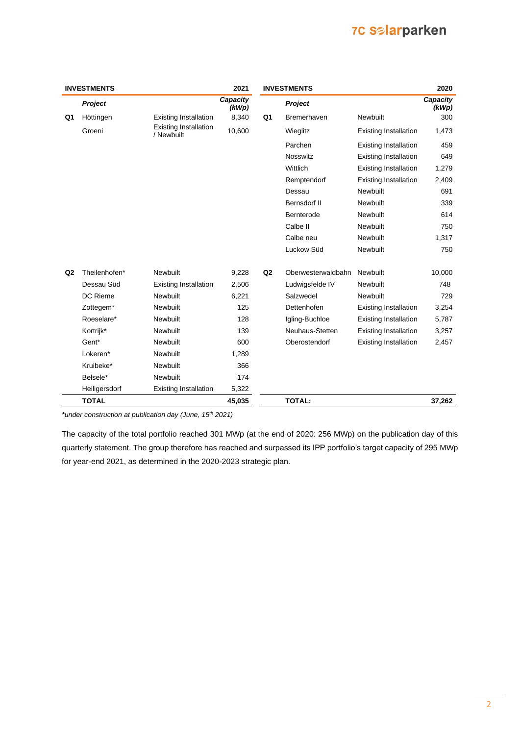## **7C Selarparken**

|                | <b>INVESTMENTS</b>    |                                            | 2021              |                | <b>INVESTMENTS</b> |                              | 2020              |
|----------------|-----------------------|--------------------------------------------|-------------------|----------------|--------------------|------------------------------|-------------------|
|                | Project               |                                            | Capacity<br>(kWp) |                | Project            |                              | Capacity<br>(kWp) |
| Q1             | Höttingen             | <b>Existing Installation</b>               | 8,340             | Q1             | <b>Bremerhaven</b> | Newbuilt                     | 300               |
|                | Groeni                | <b>Existing Installation</b><br>/ Newbuilt | 10,600            |                | Wieglitz           | <b>Existing Installation</b> | 1,473             |
|                |                       |                                            |                   |                | Parchen            | <b>Existing Installation</b> | 459               |
|                |                       |                                            |                   |                | <b>Nosswitz</b>    | <b>Existing Installation</b> | 649               |
|                |                       |                                            |                   |                | Wittlich           | <b>Existing Installation</b> | 1,279             |
|                |                       |                                            |                   |                | Remptendorf        | <b>Existing Installation</b> | 2,409             |
|                |                       |                                            |                   |                | Dessau             | Newbuilt                     | 691               |
|                |                       |                                            |                   |                | Bernsdorf II       | Newbuilt                     | 339               |
|                |                       |                                            |                   |                | Bernterode         | Newbuilt                     | 614               |
|                |                       |                                            |                   |                | Calbe II           | Newbuilt                     | 750               |
|                |                       |                                            |                   |                | Calbe neu          | Newbuilt                     | 1,317             |
|                |                       |                                            |                   |                | Luckow Süd         | Newbuilt                     | 750               |
| Q <sub>2</sub> | Theilenhofen*         | Newbuilt                                   | 9,228             | Q <sub>2</sub> | Oberwesterwaldbahn | Newbuilt                     | 10,000            |
|                | Dessau Süd            | <b>Existing Installation</b>               | 2,506             |                | Ludwigsfelde IV    | Newbuilt                     | 748               |
|                | <b>DC Rieme</b>       | Newbuilt                                   | 6,221             |                | Salzwedel          | Newbuilt                     | 729               |
|                | Zottegem <sup>*</sup> | Newbuilt                                   | 125               |                | Dettenhofen        | <b>Existing Installation</b> | 3,254             |
|                | Roeselare*            | Newbuilt                                   | 128               |                | Igling-Buchloe     | <b>Existing Installation</b> | 5,787             |
|                | Kortrijk*             | Newbuilt                                   | 139               |                | Neuhaus-Stetten    | <b>Existing Installation</b> | 3,257             |
|                | Gent*                 | <b>Newbuilt</b>                            | 600               |                | Oberostendorf      | <b>Existing Installation</b> | 2,457             |
|                | Lokeren*              | Newbuilt                                   | 1,289             |                |                    |                              |                   |
|                | Kruibeke*             | Newbuilt                                   | 366               |                |                    |                              |                   |
|                | Belsele*              | <b>Newbuilt</b>                            | 174               |                |                    |                              |                   |
|                | Heiligersdorf         | <b>Existing Installation</b>               | 5,322             |                |                    |                              |                   |
|                | <b>TOTAL</b>          |                                            | 45,035            |                | <b>TOTAL:</b>      |                              | 37,262            |

*\*under construction at publication day (June, 15th 2021)*

The capacity of the total portfolio reached 301 MWp (at the end of 2020: 256 MWp) on the publication day of this quarterly statement. The group therefore has reached and surpassed its IPP portfolio's target capacity of 295 MWp for year-end 2021, as determined in the 2020-2023 strategic plan.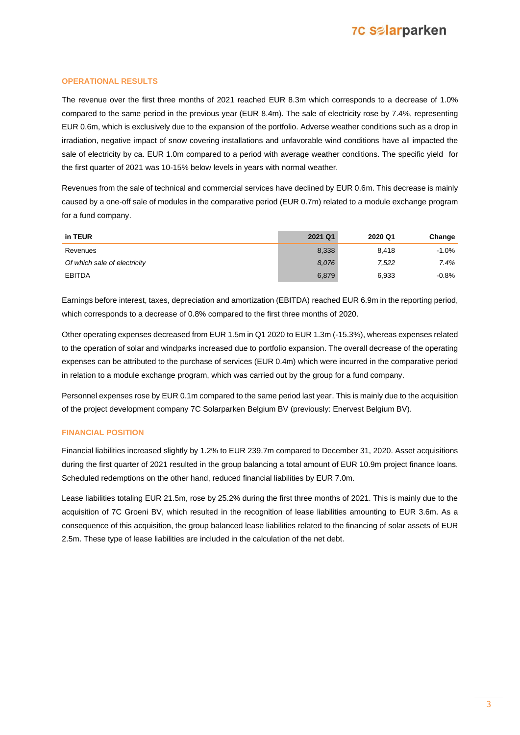## **7C Salarparken**

#### **OPERATIONAL RESULTS**

The revenue over the first three months of 2021 reached EUR 8.3m which corresponds to a decrease of 1.0% compared to the same period in the previous year (EUR 8.4m). The sale of electricity rose by 7.4%, representing EUR 0.6m, which is exclusively due to the expansion of the portfolio. Adverse weather conditions such as a drop in irradiation, negative impact of snow covering installations and unfavorable wind conditions have all impacted the sale of electricity by ca. EUR 1.0m compared to a period with average weather conditions. The specific yield for the first quarter of 2021 was 10-15% below levels in years with normal weather.

Revenues from the sale of technical and commercial services have declined by EUR 0.6m. This decrease is mainly caused by a one-off sale of modules in the comparative period (EUR 0.7m) related to a module exchange program for a fund company.

| in TEUR                      | 2021 Q1 | 2020 Q1 | Change  |
|------------------------------|---------|---------|---------|
| Revenues                     | 8,338   | 8.418   | $-1.0%$ |
| Of which sale of electricity | 8.076   | 7,522   | 7.4%    |
| <b>EBITDA</b>                | 6,879   | 6,933   | $-0.8%$ |

Earnings before interest, taxes, depreciation and amortization (EBITDA) reached EUR 6.9m in the reporting period, which corresponds to a decrease of 0.8% compared to the first three months of 2020.

Other operating expenses decreased from EUR 1.5m in Q1 2020 to EUR 1.3m (-15.3%), whereas expenses related to the operation of solar and windparks increased due to portfolio expansion. The overall decrease of the operating expenses can be attributed to the purchase of services (EUR 0.4m) which were incurred in the comparative period in relation to a module exchange program, which was carried out by the group for a fund company.

Personnel expenses rose by EUR 0.1m compared to the same period last year. This is mainly due to the acquisition of the project development company 7C Solarparken Belgium BV (previously: Enervest Belgium BV).

#### **FINANCIAL POSITION**

Financial liabilities increased slightly by 1.2% to EUR 239.7m compared to December 31, 2020. Asset acquisitions during the first quarter of 2021 resulted in the group balancing a total amount of EUR 10.9m project finance loans. Scheduled redemptions on the other hand, reduced financial liabilities by EUR 7.0m.

Lease liabilities totaling EUR 21.5m, rose by 25.2% during the first three months of 2021. This is mainly due to the acquisition of 7C Groeni BV, which resulted in the recognition of lease liabilities amounting to EUR 3.6m. As a consequence of this acquisition, the group balanced lease liabilities related to the financing of solar assets of EUR 2.5m. These type of lease liabilities are included in the calculation of the net debt.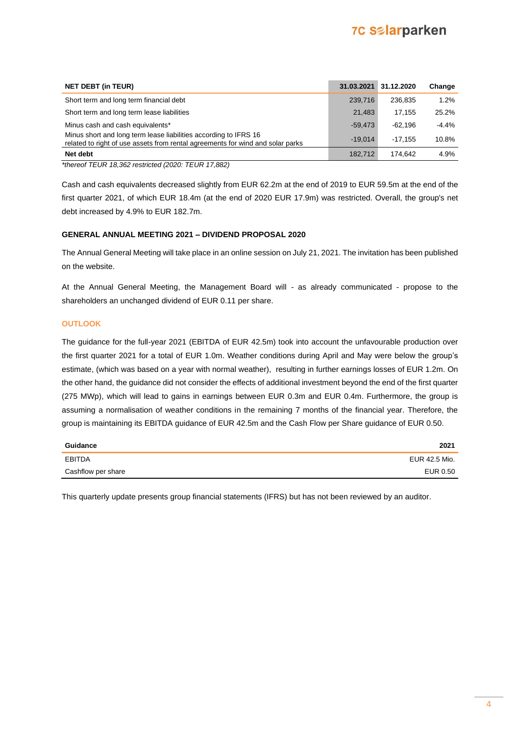## **7C Salarparken**

| <b>NET DEBT (in TEUR)</b>                                                                                                                          | 31.03.2021 | 31.12.2020 | Change  |
|----------------------------------------------------------------------------------------------------------------------------------------------------|------------|------------|---------|
| Short term and long term financial debt                                                                                                            | 239.716    | 236.835    | 1.2%    |
| Short term and long term lease liabilities                                                                                                         | 21.483     | 17.155     | 25.2%   |
| Minus cash and cash equivalents*                                                                                                                   | $-59.473$  | $-62.196$  | $-4.4%$ |
| Minus short and long term lease liabilities according to IFRS 16<br>related to right of use assets from rental agreements for wind and solar parks | $-19.014$  | $-17.155$  | 10.8%   |
| Net debt                                                                                                                                           | 182.712    | 174.642    | 4.9%    |

*\*thereof TEUR 18,362 restricted (2020: TEUR 17,882)*

Cash and cash equivalents decreased slightly from EUR 62.2m at the end of 2019 to EUR 59.5m at the end of the first quarter 2021, of which EUR 18.4m (at the end of 2020 EUR 17.9m) was restricted. Overall, the group's net debt increased by 4.9% to EUR 182.7m.

#### **GENERAL ANNUAL MEETING 2021 – DIVIDEND PROPOSAL 2020**

The Annual General Meeting will take place in an online session on July 21, 2021. The invitation has been published on the website.

At the Annual General Meeting, the Management Board will - as already communicated - propose to the shareholders an unchanged dividend of EUR 0.11 per share.

#### **OUTLOOK**

The guidance for the full-year 2021 (EBITDA of EUR 42.5m) took into account the unfavourable production over the first quarter 2021 for a total of EUR 1.0m. Weather conditions during April and May were below the group's estimate, (which was based on a year with normal weather), resulting in further earnings losses of EUR 1.2m. On the other hand, the guidance did not consider the effects of additional investment beyond the end of the first quarter (275 MWp), which will lead to gains in earnings between EUR 0.3m and EUR 0.4m. Furthermore, the group is assuming a normalisation of weather conditions in the remaining 7 months of the financial year. Therefore, the group is maintaining its EBITDA guidance of EUR 42.5m and the Cash Flow per Share guidance of EUR 0.50.

| Guidance           | 2021          |
|--------------------|---------------|
| EBITDA             | EUR 42.5 Mio. |
| Cashflow per share | EUR 0.50      |

This quarterly update presents group financial statements (IFRS) but has not been reviewed by an auditor.